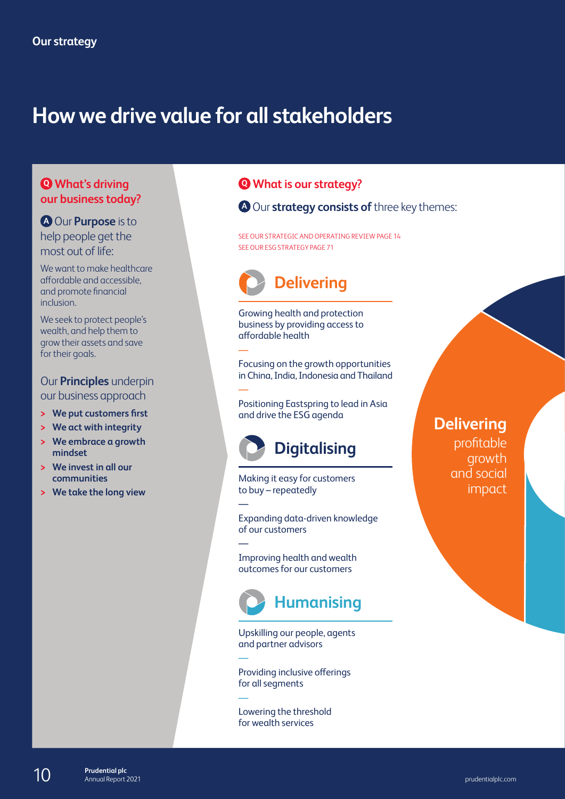# **How we drive value for all stakeholders**

#### **Q What's driving our business today?**

**<sup>A</sup>** Our **Purpose** is to help people get the most out of life:

We want to make healthcare affordable and accessible, and promote financial inclusion.

We seek to protect people's wealth, and help them to grow their assets and save for their goals.

Our **Principles** underpin our business approach

- **> We put customers first**
- **> We act with integrity**
- **> We embrace a growth mindset**
- **> We invest in all our communities**
- **> We take the long view**

### **Q What is our strategy?**

**<sup>A</sup>** Our **strategy consists of** three key themes:

SEE OUR STRATEGIC AND OPERATING REVIEW PAGE 14 SEE OUR ESG STRATEGY PAGE 71



Growing health and protection business by providing access to affordable health

—

—

—

—

—

—

Focusing on the growth opportunities in China, India, Indonesia and Thailand

Positioning Eastspring to lead in Asia and drive the ESG agenda



Making it easy for customers to buy – repeatedly

Expanding data-driven knowledge of our customers

Improving health and wealth outcomes for our customers



Upskilling our people, agents and partner advisors

Providing inclusive offerings for all segments

Lowering the threshold for wealth services

**Delivering**  profitable growth and social impact